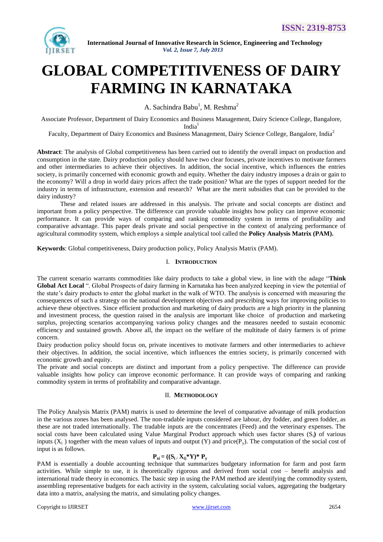

# **GLOBAL COMPETITIVENESS OF DAIRY FARMING IN KARNATAKA**

A. Sachindra Babu<sup>1</sup>, M. Reshma<sup>2</sup>

Associate Professor, Department of Dairy Economics and Business Management, Dairy Science College, Bangalore, India<sup>1</sup>

Faculty, Department of Dairy Economics and Business Management, Dairy Science College, Bangalore, India<sup>2</sup>

**Abstract**: The analysis of Global competitiveness has been carried out to identify the overall impact on production and consumption in the state. Dairy production policy should have two clear focuses, private incentives to motivate farmers and other intermediaries to achieve their objectives. In addition, the social incentive, which influences the entries society, is primarily concerned with economic growth and equity. Whether the dairy industry imposes a drain or gain to the economy? Will a drop in world dairy prices affect the trade position? What are the types of support needed for the industry in terms of infrastructure, extension and research? What are the merit subsidies that can be provided to the dairy industry?

These and related issues are addressed in this analysis. The private and social concepts are distinct and important from a policy perspective. The difference can provide valuable insights how policy can improve economic performance. It can provide ways of comparing and ranking commodity system in terms of profitability and comparative advantage. This paper deals private and social perspective in the context of analyzing performance of agricultural commodity system, which employs a simple analytical tool called the **Policy Analysis Matrix (PAM).**

**Keywords**: Global competitiveness, Dairy production policy, Policy Analysis Matrix (PAM).

# I. **INTRODUCTION**

The current scenario warrants commodities like dairy products to take a global view, in line with the adage "**Think Global Act Local** ". Global Prospects of dairy farming in Karnataka has been analyzed keeping in view the potential of the state's dairy products to enter the global market in the walk of WTO. The analysis is concerned with measuring the consequences of such a strategy on the national development objectives and prescribing ways for improving policies to achieve these objectives. Since efficient production and marketing of dairy products are a high priority in the planning and investment process, the question raised in the analysis are important like choice of production and marketing surplus, projecting scenarios accompanying various policy changes and the measures needed to sustain economic efficiency and sustained growth. Above all, the impact on the welfare of the multitude of dairy farmers is of prime concern.

Dairy production policy should focus on, private incentives to motivate farmers and other intermediaries to achieve their objectives. In addition, the social incentive, which influences the entries society, is primarily concerned with economic growth and equity.

The private and social concepts are distinct and important from a policy perspective. The difference can provide valuable insights how policy can improve economic performance. It can provide ways of comparing and ranking commodity system in terms of profitability and comparative advantage.

#### II. **METHODOLOGY**

The Policy Analysis Matrix (PAM) matrix is used to determine the level of comparative advantage of milk production in the various zones has been analysed. The non-tradable inputs considered are labour, dry fodder, and green fodder, as these are not traded internationally. The tradable inputs are the concentrates (Feed) and the veterinary expenses. The social costs have been calculated using Value Marginal Product approach which uses factor shares (Si**)** of various inputs  $(X_i)$  together with the mean values of inputs and output  $(Y)$  and price( $P_y$ ). The computation of the social cost of input is as follows.

# $P_{\text{xi}} = ((S_{\text{i}} / X_{\text{i}} * Y) * P_{\text{y}})$

PAM is essentially a double accounting technique that summarizes budgetary information for farm and post farm activities. While simple to use, it is theoretically rigorous and derived from social cost – benefit analysis and international trade theory in economics. The basic step in using the PAM method are identifying the commodity system, assembling representative budgets for each activity in the system, calculating social values, aggregating the budgetary data into a matrix, analysing the matrix, and simulating policy changes.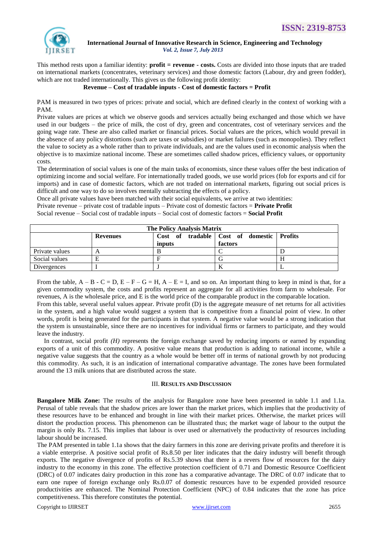

This method rests upon a familiar identity: **profit = revenue - costs.** Costs are divided into those inputs that are traded on international markets (concentrates, veterinary services) and those domestic factors (Labour, dry and green fodder), which are not traded internationally. This gives us the following profit identity:

# **Revenue – Cost of tradable inputs - Cost of domestic factors = Profit**

PAM is measured in two types of prices: private and social, which are defined clearly in the context of working with a PAM.

Private values are prices at which we observe goods and services actually being exchanged and those which we have used in our budgets – the price of milk, the cost of dry, green and concentrates, cost of veterinary services and the going wage rate. These are also called market or financial prices. Social values are the prices, which would prevail in the absence of any policy distortions (such are taxes or subsidies) or market failures (such as monopolies). They reflect the value to society as a whole rather than to private individuals, and are the values used in economic analysis when the objective is to maximize national income. These are sometimes called shadow prices, efficiency values, or opportunity costs.

The determination of social values is one of the main tasks of economists, since these values offer the best indication of optimizing income and social welfare. For internationally traded goods, we use world prices (fob for exports and cif for imports) and in case of domestic factors, which are not traded on international markets, figuring out social prices is difficult and one way to do so involves mentally subtracting the effects of a policy.

Once all private values have been matched with their social equivalents, we arrive at two identities:

Private revenue – private cost of tradable inputs – Private cost of domestic factors = **Private Profit** 

Social revenue – Social cost of tradable inputs – Social cost of domestic factors = **Social Profit** 

| <b>The Policy Analysis Matrix</b> |                 |        |                                               |  |  |
|-----------------------------------|-----------------|--------|-----------------------------------------------|--|--|
|                                   | <b>Revenues</b> |        | Cost of tradable   Cost of domestic   Profits |  |  |
|                                   |                 | inputs | factors                                       |  |  |
| Private values                    | A               |        |                                               |  |  |
| Social values                     |                 |        |                                               |  |  |
| Divergences                       |                 |        |                                               |  |  |

From the table,  $A - B - C = D$ ,  $E - F - G = H$ ,  $A - E = I$ , and so on. An important thing to keep in mind is that, for a given commodity system, the costs and profits represent an aggregate for all activities from farm to wholesale. For revenues, A is the wholesale price, and E is the world price of the comparable product in the comparable location.

From this table, several useful values appear. Private profit (D) is the aggregate measure of net returns for all activities in the system, and a high value would suggest a system that is competitive from a financial point of view. In other words, profit is being generated for the participants in that system. A negative value would be a strong indication that the system is unsustainable, since there are no incentives for individual firms or farmers to participate, and they would leave the industry.

In contrast, social profit *(H)* represents the foreign exchange saved by reducing imports or earned by expanding exports of a unit of this commodity. A positive value means that production is adding to national income, while a negative value suggests that the country as a whole would be better off in terms of national growth by not producing this commodity. As such, it is an indication of international comparative advantage. The zones have been formulated around the 13 milk unions that are distributed across the state.

# III. **RESULTS AND DISCUSSION**

**Bangalore Milk Zone:** The results of the analysis for Bangalore zone have been presented in table 1.1 and 1.1a. Perusal of table reveals that the shadow prices are lower than the market prices, which implies that the productivity of these resources have to be enhanced and brought in line with their market prices. Otherwise, the market prices will distort the production process. This phenomenon can be illustrated thus; the market wage of labour to the output the margin is only Rs. 7.15. This implies that labour is over used or alternatively the productivity of resources including labour should be increased.

The PAM presented in table 1.1a shows that the dairy farmers in this zone are deriving private profits and therefore it is a viable enterprise. A positive social profit of Rs.8.50 per liter indicates that the dairy industry will benefit through exports. The negative divergence of profits of Rs.5.39 shows that there is a revers flow of resources for the dairy industry to the economy in this zone. The effective protection coefficient of 0.71 and Domestic Resource Coefficient (DRC) of 0.07 indicates dairy production in this zone has a comparative advantage. The DRC of 0.07 indicate that to earn one rupee of foreign exchange only Rs.0.07 of domestic resources have to be expended provided resource productivities are enhanced. The Nominal Protection Coefficient (NPC) of 0.84 indicates that the zone has price competitiveness. This therefore constitutes the potential.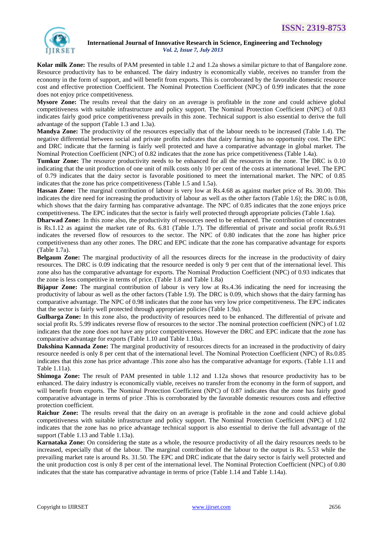

**Kolar milk Zone:** The results of PAM presented in table 1.2 and 1.2a shows a similar picture to that of Bangalore zone. Resource productivity has to be enhanced. The dairy industry is economically viable, receives no transfer from the economy in the form of support, and will benefit from exports. This is corroborated by the favorable domestic resource cost and effective protection Coefficient. The Nominal Protection Coefficient (NPC) of 0.99 indicates that the zone does not enjoy price competitiveness.

**Mysore Zone:** The results reveal that the dairy on an average is profitable in the zone and could achieve global competitiveness with suitable infrastructure and policy support. The Nominal Protection Coefficient (NPC) of 0.83 indicates fairly good price competitiveness prevails in this zone. Technical support is also essential to derive the full advantage of the support (Table 1.3 and 1.3a).

**Mandya Zone:** The productivity of the resources especially that of the labour needs to be increased (Table 1.4). The negative differential between social and private profits indicates that dairy farming has no opportunity cost. The EPC and DRC indicate that the farming is fairly well protected and have a comparative advantage in global market. The Nominal Protection Coefficient (NPC) of 0.82 indicates that the zone has price competitiveness (Table 1.4a).

**Tumkur Zone:** The resource productivity needs to be enhanced for all the resources in the zone. The DRC is 0.10 indicating that the unit production of one unit of milk costs only 10 per cent of the costs at international level. The EPC of 0.79 indicates that the dairy sector is favorable positioned to meet the international market. The NPC of 0.85 indicates that the zone has price competitiveness (Table 1.5 and 1.5a).

**Hassan Zone:** The marginal contribution of labour is very low at Rs.4.68 as against market price of Rs. 30.00. This indicates the dire need for increasing the productivity of labour as well as the other factors (Table 1.6); the DRC is 0.08, which shows that the dairy farming has comparative advantage. The NPC of 0.85 indicates that the zone enjoys price competitiveness. The EPC indicates that the sector is fairly well protected through appropriate policies (Table 1.6a).

**Dharwad Zone:** In this zone also, the productivity of resources need to be enhanced. The contribution of concentrates is Rs.1.12 as against the market rate of Rs. 6.81 (Table 1.7). The differential of private and social profit Rs.6.91 indicates the reversed flow of resources to the sector. The NPC of 0.80 indicates that the zone has higher price competitiveness than any other zones. The DRC and EPC indicate that the zone has comparative advantage for exports (Table 1.7a).

**Belgaum Zone:** The marginal productivity of all the resources directs for the increase in the productivity of dairy resources. The DRC is 0.09 indicating that the resource needed is only 9 per cent that of the international level. This zone also has the comparative advantage for exports. The Nominal Production Coefficient (NPC) of 0.93 indicates that the zone is less competitive in terms of price. (Table 1.8 and Table 1.8a)

**Bijapur Zone:** The marginal contribution of labour is very low at Rs.4.36 indicating the need for increasing the productivity of labour as well as the other factors (Table 1.9). The DRC is 0.09, which shows that the dairy farming has comparative advantage. The NPC of 0.98 indicates that the zone has very low price competitiveness. The EPC indicates that the sector is fairly well protected through appropriate policies (Table 1.9a).

**Gulbarga Zone:** In this zone also, the productivity of resources need to be enhanced. The differential of private and social profit Rs. 5.99 indicates reverse flow of resources to the sector .The nominal protection coefficient (NPC) of 1.02 indicates that the zone does not have any price competitiveness. However the DRC and EPC indicate that the zone has comparative advantage for exports (Table 1.10 and Table 1.10a).

**Dakshina Kannada Zone:** The marginal productivity of resources directs for an increased in the productivity of dairy resource needed is only 8 per cent that of the international level. The Nominal Protection Coefficient (NPC) of Rs.0.85 indicates that this zone has price advantage .This zone also has the comparative advantage for exports. (Table 1.11 and Table 1.11a).

**Shimoga Zone:** The result of PAM presented in table 1.12 and 1.12a shows that resource productivity has to be enhanced. The dairy industry is economically viable, receives no transfer from the economy in the form of support, and will benefit from exports. The Nominal Protection Coefficient (NPC) of 0.87 indicates that the zone has fairly good comparative advantage in terms of price .This is corroborated by the favorable domestic resources costs and effective protection coefficient.

**Raichur Zone:** The results reveal that the dairy on an average is profitable in the zone and could achieve global competitiveness with suitable infrastructure and policy support. The Nominal Protection Coefficient (NPC) of 1.02 indicates that the zone has no price advantage technical support is also essential to derive the full advantage of the support (Table 1.13 and Table 1.13a).

**Karnataka Zone:** On considering the state as a whole, the resource productivity of all the dairy resources needs to be increased, especially that of the labour. The marginal contribution of the labour to the output is Rs. 5.53 while the prevailing market rate is around Rs. 31.50. The EPC and DRC indicate that the dairy sector is fairly well protected and the unit production cost is only 8 per cent of the international level. The Nominal Protection Coefficient (NPC) of 0.80 indicates that the state has comparative advantage in terms of price (Table 1.14 and Table 1.14a).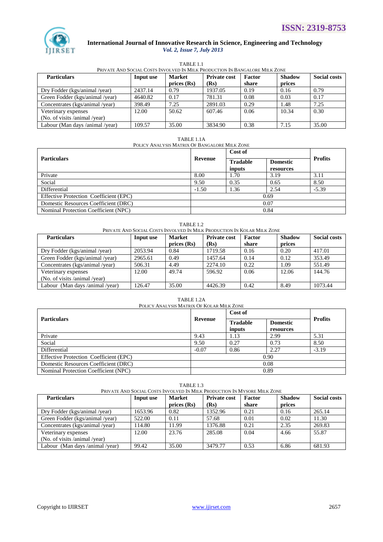

| TABLE 1.1 |  |
|-----------|--|

| PRIVATE AND SOCIAL COSTS INVOLVED IN MILK PRODUCTION IN BANGALORE MILK ZONE |           |                                            |                             |                 |                  |                     |
|-----------------------------------------------------------------------------|-----------|--------------------------------------------|-----------------------------|-----------------|------------------|---------------------|
| <b>Particulars</b>                                                          | Input use | <b>Market</b><br>$\frac{1}{2}$ prices (Rs) | <b>Private cost</b><br>(Rs) | Factor<br>share | Shadow<br>prices | <b>Social costs</b> |
| Dry Fodder (kgs/animal/year)                                                | 2437.14   | 0.79                                       | 1937.05                     | 0.19            | 0.16             | 0.79                |
| Green Fodder (kgs/animal/year)                                              | 4640.82   | 0.17                                       | 781.31                      | 0.08            | 0.03             | 0.17                |
| Concentrates (kgs/animal/year)                                              | 398.49    | 7.25                                       | 2891.03                     | 0.29            | 1.48             | 7.25                |
| Veterinary expenses                                                         | 12.00     | 50.62                                      | 607.46                      | 0.06            | 10.34            | 0.30                |
| (No. of visits /animal /year)                                               |           |                                            |                             |                 |                  |                     |
| Labour (Man days /animal /year)                                             | 109.57    | 35.00                                      | 3834.90                     | 0.38            | 7.15             | 35.00               |

TABLE 1.1A POLICY ANALYSIS MATRIX OF BANGALORE MILK ZONE

|                                        |         | Cost of         |                 |                |
|----------------------------------------|---------|-----------------|-----------------|----------------|
| <b>Particulars</b>                     | Revenue | <b>Tradable</b> | <b>Domestic</b> | <b>Profits</b> |
|                                        |         | inputs          | resources       |                |
| Private                                | 8.00    | 1.70            | 3.19            | 3.11           |
| Social                                 | 9.50    | 0.35            | 0.65            | 8.50           |
| Differential                           | $-1.50$ | 1.36            | 2.54            | $-5.39$        |
| Effective Protection Coefficient (EPC) | 0.69    |                 |                 |                |
| Domestic Resources Coefficient (DRC)   | 0.07    |                 |                 |                |
| Nominal Protection Coefficient (NPC)   |         |                 | 0.84            |                |

TABLE 1.2 PRIVATE AND SOCIAL COSTS INVOLVED IN MILK PRODUCTION IN KOLAR MILK ZONE **Particulars Input use Market prices (Rs) Private cost (Rs) Factor share Shadow prices Social costs**  Dry Fodder (kgs/animal /year) 2053.94 0.84 1719.58 0.16 0.20 417.01<br>Green Fodder (kgs/animal /year) 2965.61 0.49 1457.64 0.14 0.12 353.49 Green Fodder (kgs/animal /year) 2965.61 0.49 1457.64 0.14 0.12 353.49<br>Concentrates (kgs/animal /year) 506.31 4.49 2274.10 0.22 1.09 551.49 Concentrates (kgs/animal /year) 506.31 4.49 2274.10 0.22 1.09 551.49<br>Veterinary expenses 12.00 49.74 596.92 0.06 12.06 144.76 Veterinary expenses (No. of visits /animal /year) 12.00 | 49.74 | 596.92 | 0.06 | 12.06 | 144.76 Labour (Man days /animal /year) 126.47 35.00 4426.39 0.42 8.49 1073.44

#### TABLE 1.2A POLICY ANALYSIS MATRIX OF KOLAR MILK ZONE

|                                        |         | Cost of                   |                              |                |
|----------------------------------------|---------|---------------------------|------------------------------|----------------|
| <b>Particulars</b>                     | Revenue | <b>Tradable</b><br>inputs | <b>Domestic</b><br>resources | <b>Profits</b> |
| Private                                | 9.43    | 1.13                      | 2.99                         | 5.31           |
| Social                                 | 9.50    | 0.27                      | 0.73                         | 8.50           |
| Differential                           | $-0.07$ | 0.86                      | 2.27                         | $-3.19$        |
| Effective Protection Coefficient (EPC) | 0.90    |                           |                              |                |
| Domestic Resources Coefficient (DRC)   | 0.08    |                           |                              |                |
| Nominal Protection Coefficient (NPC)   |         |                           | 0.89                         |                |

TABLE 1.3

| PRIVATE AND SOCIAL COSTS INVOLVED IN MILK PRODUCTION IN MYSORE MILK ZONE |           |                                              |                     |        |               |                     |
|--------------------------------------------------------------------------|-----------|----------------------------------------------|---------------------|--------|---------------|---------------------|
| <b>Particulars</b>                                                       | Input use | <b>Market</b>                                | <b>Private cost</b> | Factor | <b>Shadow</b> | <b>Social costs</b> |
|                                                                          |           | $\boldsymbol{p}$ rices ( $\boldsymbol{R}s$ ) | (Rs)                | share  | prices        |                     |
| Dry Fodder (kgs/animal /year)                                            | 1653.96   | 0.82                                         | 1352.96             | 0.21   | 0.16          | 265.14              |
| Green Fodder (kgs/animal /year)                                          | 522.00    | 0.11                                         | 57.68               | 0.01   | 0.02          | 11.30               |
| Concentrates (kgs/animal/year)                                           | 114.80    | 11.99                                        | 1376.88             | 0.21   | 2.35          | 269.83              |
| Veterinary expenses                                                      | 12.00     | 23.76                                        | 285.08              | 0.04   | 4.66          | 55.87               |
| (No. of visits /animal /year)                                            |           |                                              |                     |        |               |                     |
| Labour (Man days /animal /year)                                          | 99.42     | 35.00                                        | 3479.77             | 0.53   | 6.86          | 681.93              |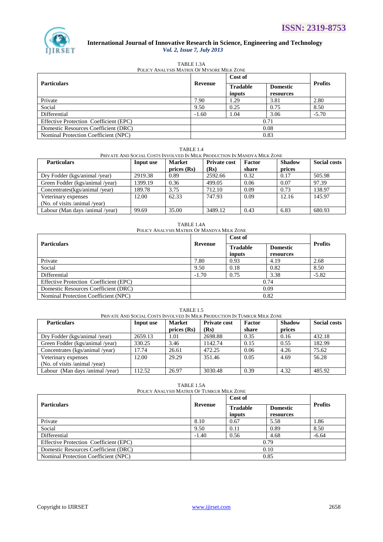

#### TABLE 1.3A

| POLICY ANALYSIS MATRIX OF MYSORE MILK ZONE |         |                           |                              |                |  |  |
|--------------------------------------------|---------|---------------------------|------------------------------|----------------|--|--|
|                                            |         | Cost of                   |                              |                |  |  |
| <b>Particulars</b>                         | Revenue | <b>Tradable</b><br>inputs | <b>Domestic</b><br>resources | <b>Profits</b> |  |  |
| Private                                    | 7.90    | 1.29                      | 3.81                         | 2.80           |  |  |
| Social                                     | 9.50    | 0.25                      | 0.75                         | 8.50           |  |  |
| Differential                               | $-1.60$ | 1.04                      | 3.06                         | $-5.70$        |  |  |
| Effective Protection Coefficient (EPC)     |         | 0.71                      |                              |                |  |  |
| Domestic Resources Coefficient (DRC)       |         | 0.08                      |                              |                |  |  |
| Nominal Protection Coefficient (NPC)       | 0.83    |                           |                              |                |  |  |

TABLE 1.4 PRIVATE AND SOCIAL COSTS INVOLVED IN MILK PRODUCTION IN MANDYA MILK ZONE

| <b>Particulars</b>              | Input use | <b>Market</b><br>$\mathbf{prices}(\mathbf{Rs})$ | <b>Private cost</b><br>(Rs) | Factor<br>share | <b>Shadow</b><br>prices | <b>Social costs</b> |
|---------------------------------|-----------|-------------------------------------------------|-----------------------------|-----------------|-------------------------|---------------------|
| Dry Fodder (kgs/animal/year)    | 2919.38   | 0.89                                            | 2592.66                     | 0.32            | 0.17                    | 505.98              |
| Green Fodder (kgs/animal /year) | 1399.19   | 0.36                                            | 499.05                      | 0.06            | 0.07                    | 97.39               |
| Concentrates(kgs/animal/year)   | 189.78    | 3.75                                            | 712.10                      | 0.09            | 0.73                    | 138.97              |
| Veterinary expenses             | 12.00     | 62.33                                           | 747.93                      | 0.09            | 12.16                   | 145.97              |
| (No. of visits /animal /year)   |           |                                                 |                             |                 |                         |                     |
| Labour (Man days /animal /year) | 99.69     | 35.00                                           | 3489.12                     | 0.43            | 6.83                    | 680.93              |

TABLE 1.4A POLICY ANALYSIS MATRIX OF MANDYA MILK ZONE

|                                        |         | Cost of                   |                              |                |
|----------------------------------------|---------|---------------------------|------------------------------|----------------|
| <b>Particulars</b>                     | Revenue | <b>Tradable</b><br>inputs | <b>Domestic</b><br>resources | <b>Profits</b> |
| Private                                | 7.80    | 0.93                      | 4.19                         | 2.68           |
| Social                                 | 9.50    | 0.18                      | 0.82                         | 8.50           |
| Differential                           | $-1.70$ | 0.75                      | 3.38                         | $-5.82$        |
| Effective Protection Coefficient (EPC) | 0.74    |                           |                              |                |
| Domestic Resources Coefficient (DRC)   | 0.09    |                           |                              |                |
| Nominal Protection Coefficient (NPC)   |         |                           | 0.82                         |                |

TABLE 1.5 PRIVATE AND SOCIAL COSTS INVOLVED IN MILK PRODUCTION IN TUMKUR MILK ZONE

| <b>Particulars</b>              | Input use | <b>Market</b>             | <b>Private cost</b> | Factor | <b>Shadow</b> | <b>Social costs</b> |
|---------------------------------|-----------|---------------------------|---------------------|--------|---------------|---------------------|
|                                 |           | $\frac{1}{2}$ prices (Rs) | (Rs)                | share  | prices        |                     |
| Dry Fodder (kgs/animal/year)    | 2659.13   | 1.01                      | 2698.88             | 0.35   | 0.16          | 432.18              |
| Green Fodder (kgs/animal /year) | 330.25    | 3.46                      | 1142.74             | 0.15   | 0.55          | 182.99              |
| Concentrates (kgs/animal/year)  | 17.74     | 26.61                     | 472.25              | 0.06   | 4.26          | 75.62               |
| Veterinary expenses             | 12.00     | 29.29                     | 351.46              | 0.05   | 4.69          | 56.28               |
| (No. of visits /animal /year)   |           |                           |                     |        |               |                     |
| Labour (Man days /animal /year) | 112.52    | 26.97                     | 3030.48             | 0.39   | 4.32          | 485.92              |

TABLE 1.5A

| POLICY ANALYSIS MATRIX OF TUMKUR MILK ZONE |         |                           |                              |                |  |  |
|--------------------------------------------|---------|---------------------------|------------------------------|----------------|--|--|
|                                            |         | Cost of                   |                              |                |  |  |
| <b>Particulars</b>                         | Revenue | <b>Tradable</b><br>inputs | <b>Domestic</b><br>resources | <b>Profits</b> |  |  |
| Private                                    | 8.10    | 0.67                      | 5.58                         | 1.86           |  |  |
| Social                                     | 9.50    | 0.11                      | 0.89                         | 8.50           |  |  |
| Differential                               | $-1.40$ | 0.56                      | 4.68                         | $-6.64$        |  |  |
| Effective Protection Coefficient (EPC)     |         | 0.79                      |                              |                |  |  |
| Domestic Resources Coefficient (DRC)       |         | 0.10                      |                              |                |  |  |
| Nominal Protection Coefficient (NPC)       |         | 0.85                      |                              |                |  |  |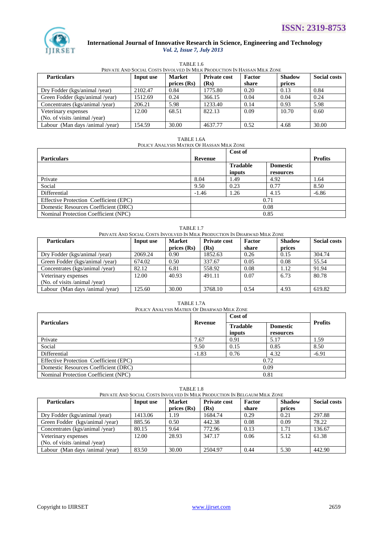

| TABLE 1.6 |  |
|-----------|--|

| PRIVATE AND SOCIAL COSTS INVOLVED IN MILK PRODUCTION IN HASSAN MILK ZONE |           |                                            |                             |                 |                  |                     |  |  |
|--------------------------------------------------------------------------|-----------|--------------------------------------------|-----------------------------|-----------------|------------------|---------------------|--|--|
| <b>Particulars</b>                                                       | Input use | <b>Market</b><br>$\frac{1}{2}$ prices (Rs) | <b>Private cost</b><br>(Rs) | Factor<br>share | Shadow<br>prices | <b>Social costs</b> |  |  |
| Dry Fodder (kgs/animal/year)                                             | 2102.47   | 0.84                                       | 1775.80                     | 0.20            | 0.13             | 0.84                |  |  |
| Green Fodder (kgs/animal/year)                                           | 1512.69   | 0.24                                       | 366.15                      | 0.04            | 0.04             | 0.24                |  |  |
| Concentrates (kgs/animal/year)                                           | 206.21    | 5.98                                       | 1233.40                     | 0.14            | 0.93             | 5.98                |  |  |
| Veterinary expenses                                                      | 12.00     | 68.51                                      | 822.13                      | 0.09            | 10.70            | 0.60                |  |  |
| (No. of visits /animal /year)                                            |           |                                            |                             |                 |                  |                     |  |  |
| Labour (Man days /animal /year)                                          | 154.59    | 30.00                                      | 4637.77                     | 0.52            | 4.68             | 30.00               |  |  |

TABLE 1.6A POLICY ANALYSIS MATRIX OF HASSAN MILK ZONE

|                                        |         | Cost of         |                 |                |  |
|----------------------------------------|---------|-----------------|-----------------|----------------|--|
| <b>Particulars</b>                     | Revenue |                 |                 | <b>Profits</b> |  |
|                                        |         | <b>Tradable</b> | <b>Domestic</b> |                |  |
|                                        |         | inputs          | resources       |                |  |
| Private                                | 8.04    | 1.49            | 4.92            | 1.64           |  |
| Social                                 | 9.50    | 0.23            | 0.77            | 8.50           |  |
| Differential                           | $-1.46$ | 1.26            | 4.15            | $-6.86$        |  |
| Effective Protection Coefficient (EPC) | 0.71    |                 |                 |                |  |
| Domestic Resources Coefficient (DRC)   | 0.08    |                 |                 |                |  |
| Nominal Protection Coefficient (NPC)   |         |                 | 0.85            |                |  |

TABLE 1.7 PRIVATE AND SOCIAL COSTS INVOLVED IN MILK PRODUCTION IN DHARWAD MILK ZONE **Particulars** Input use Market **prices (Rs) (Rs) Private cost Factor share Shadow prices Social costs** 

|                                 |         | $\mu$ RG $(M)$ | <b>11721</b> | знагс | <b>DIRES</b> |        |
|---------------------------------|---------|----------------|--------------|-------|--------------|--------|
| Dry Fodder (kgs/animal/year)    | 2069.24 | 0.90           | 1852.63      | 0.26  | 0.15         | 304.74 |
| Green Fodder (kgs/animal /year) | 674.02  | 0.50           | 337.67       | 0.05  | 0.08         | 55.54  |
| Concentrates (kgs/animal/year)  | 82.12   | 6.81           | 558.92       | 0.08  | 1.12         | 91.94  |
| Veterinary expenses             | 12.00   | 40.93          | 491.11       | 0.07  | 6.73         | 80.78  |
| (No. of visits /animal /year)   |         |                |              |       |              |        |
| Labour (Man days /animal /year) | 125.60  | 30.00          | 3768.10      | 0.54  | 4.93         | 619.82 |

TABLE 1.7A POLICY ANALYSIS MATRIX OF DHARWAD MILK ZONE

|                                        |         | Cost of                   |                              |                |
|----------------------------------------|---------|---------------------------|------------------------------|----------------|
| <b>Particulars</b>                     | Revenue | <b>Tradable</b><br>inputs | <b>Domestic</b><br>resources | <b>Profits</b> |
| Private                                | 7.67    | 0.91                      | 5.17                         | 1.59           |
| Social                                 | 9.50    | 0.15                      | 0.85                         | 8.50           |
| Differential                           | $-1.83$ | 0.76                      | 4.32                         | $-6.91$        |
| Effective Protection Coefficient (EPC) | 0.72    |                           |                              |                |
| Domestic Resources Coefficient (DRC)   | 0.09    |                           |                              |                |
| Nominal Protection Coefficient (NPC)   |         |                           | 0.81                         |                |

| PRIVATE AND SOCIAL COSTS INVOLVED IN MILK PRODUCTION IN BELGAUM MILK ZONE |           |                                                 |                             |                 |                         |                     |  |  |
|---------------------------------------------------------------------------|-----------|-------------------------------------------------|-----------------------------|-----------------|-------------------------|---------------------|--|--|
| <b>Particulars</b>                                                        | Input use | <b>Market</b><br>$\mathbf{prices}(\mathbf{Rs})$ | <b>Private cost</b><br>(Rs) | Factor<br>share | <b>Shadow</b><br>prices | <b>Social costs</b> |  |  |
| Dry Fodder (kgs/animal/year)                                              | 1413.06   | 1.19                                            | 1684.74                     | 0.29            | 0.21                    | 297.88              |  |  |
| Green Fodder (kgs/animal/year)                                            | 885.56    | 0.50                                            | 442.38                      | 0.08            | 0.09                    | 78.22               |  |  |
| Concentrates (kgs/animal/year)                                            | 80.15     | 9.64                                            | 772.96                      | 0.13            | 1.71                    | 136.67              |  |  |
| Veterinary expenses                                                       | 12.00     | 28.93                                           | 347.17                      | 0.06            | 5.12                    | 61.38               |  |  |
| (No. of visits /animal /year)                                             |           |                                                 |                             |                 |                         |                     |  |  |
| Labour (Man days /animal /year)                                           | 83.50     | 30.00                                           | 2504.97                     | 0.44            | 5.30                    | 442.90              |  |  |

TABLE 1.8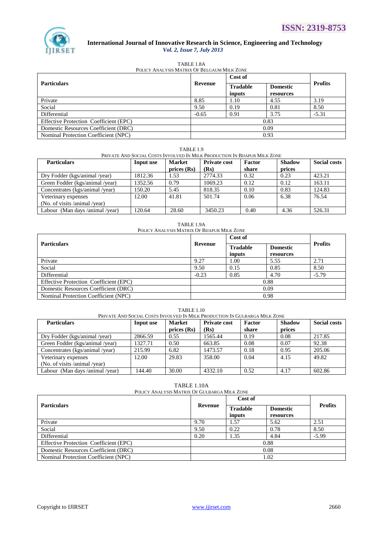

#### TABLE 1.8A

| POLICY ANALYSIS MATRIX OF BELGAUM MILK ZONE |         |                           |                              |                |  |  |  |
|---------------------------------------------|---------|---------------------------|------------------------------|----------------|--|--|--|
| <b>Particulars</b>                          |         | Cost of                   |                              |                |  |  |  |
|                                             | Revenue | <b>Tradable</b><br>inputs | <b>Domestic</b><br>resources | <b>Profits</b> |  |  |  |
| Private                                     | 8.85    | 1.10                      | 4.55                         | 3.19           |  |  |  |
| Social                                      | 9.50    | 0.19                      | 0.81                         | 8.50           |  |  |  |
| Differential                                | $-0.65$ | 0.91                      | 3.75                         | $-5.31$        |  |  |  |
| Effective Protection Coefficient (EPC)      |         | 0.83                      |                              |                |  |  |  |
| Domestic Resources Coefficient (DRC)        |         | 0.09                      |                              |                |  |  |  |
| Nominal Protection Coefficient (NPC)        |         |                           | 0.93                         |                |  |  |  |

TABLE 1.9

PRIVATE AND SOCIAL COSTS INVOLVED IN MILK PRODUCTION IN BIJAPUR MILK ZONE

| <b>Particulars</b>              | Input use | <b>Market</b>                  | <b>Private cost</b> | Factor | <b>Shadow</b> | <b>Social costs</b> |
|---------------------------------|-----------|--------------------------------|---------------------|--------|---------------|---------------------|
|                                 |           | $\mathbf{prices}(\mathbf{Rs})$ | (Rs)                | share  | prices        |                     |
| Dry Fodder (kgs/animal/year)    | 1812.36   | 1.53                           | 2774.33             | 0.32   | 0.23          | 423.21              |
| Green Fodder (kgs/animal /year) | 1352.56   | 0.79                           | 1069.23             | 0.12   | 0.12          | 163.11              |
| Concentrates (kgs/animal/year)  | 150.20    | 5.45                           | 818.35              | 0.10   | 0.83          | 124.83              |
| Veterinary expenses             | 12.00     | 41.81                          | 501.74              | 0.06   | 6.38          | 76.54               |
| (No. of visits /animal /year)   |           |                                |                     |        |               |                     |
| Labour (Man days /animal /year) | 120.64    | 28.60                          | 3450.23             | 0.40   | 4.36          | 526.31              |

TABLE 1.9A POLICY ANALYSIS MATRIX OF BIJAPUR MILK ZONE

| <b>Particulars</b>                     |         | Cost of                   |                              |                |  |  |  |
|----------------------------------------|---------|---------------------------|------------------------------|----------------|--|--|--|
|                                        | Revenue | <b>Tradable</b><br>inputs | <b>Domestic</b><br>resources | <b>Profits</b> |  |  |  |
| Private                                | 9.27    | 1.00                      | 5.55                         | 2.71           |  |  |  |
| Social                                 | 9.50    | 0.15                      | 0.85                         | 8.50           |  |  |  |
| Differential                           | $-0.23$ | 0.85                      | 4.70                         | $-5.79$        |  |  |  |
| Effective Protection Coefficient (EPC) |         | 0.88                      |                              |                |  |  |  |
| Domestic Resources Coefficient (DRC)   |         | 0.09                      |                              |                |  |  |  |
| Nominal Protection Coefficient (NPC)   |         |                           | 0.98                         |                |  |  |  |

TABLE 1.10 PRIVATE AND SOCIAL COSTS INVOLVED IN MILK PRODUCTION IN GULBARGA MILK ZONE

| <b>Particulars</b>              | Input use | <b>Market</b>                                | <b>Private cost</b> | <b>Factor</b> | <b>Shadow</b> | <b>Social costs</b> |
|---------------------------------|-----------|----------------------------------------------|---------------------|---------------|---------------|---------------------|
|                                 |           | $\boldsymbol{p}$ rices ( $\boldsymbol{R}s$ ) | (Rs)                | share         | prices        |                     |
| Dry Fodder (kgs/animal/year)    | 2866.59   | 0.55                                         | 1565.44             | 0.19          | 0.08          | 217.85              |
| Green Fodder (kgs/animal /year) | 1327.71   | 0.50                                         | 663.85              | 0.08          | 0.07          | 92.38               |
| Concentrates (kgs/animal/year)  | 215.99    | 6.82                                         | 1473.57             | 0.18          | 0.95          | 205.06              |
| Veterinary expenses             | 12.00     | 29.83                                        | 358.00              | 0.04          | 4.15          | 49.82               |
| (No. of visits /animal /year)   |           |                                              |                     |               |               |                     |
| Labour (Man days /animal /year) | 144.40    | 30.00                                        | 4332.10             | 0.52          | 4.17          | 602.86              |

TABLE 1.10A

| POLICY ANALYSIS MATRIX OF GULBARGA MILK ZONE |         |                           |                              |                |  |  |  |
|----------------------------------------------|---------|---------------------------|------------------------------|----------------|--|--|--|
| <b>Particulars</b>                           |         | Cost of                   |                              |                |  |  |  |
|                                              | Revenue | <b>Tradable</b><br>inputs | <b>Domestic</b><br>resources | <b>Profits</b> |  |  |  |
| Private                                      | 9.70    | 1.57                      | 5.62                         | 2.51           |  |  |  |
| Social                                       | 9.50    | 0.22                      | 0.78                         | 8.50           |  |  |  |
| Differential                                 | 0.20    | 1.35                      | 4.84                         | $-5.99$        |  |  |  |
| Effective Protection Coefficient (EPC)       |         |                           | 0.88                         |                |  |  |  |
| Domestic Resources Coefficient (DRC)         |         | 0.08                      |                              |                |  |  |  |
| Nominal Protection Coefficient (NPC)         |         | 1.02                      |                              |                |  |  |  |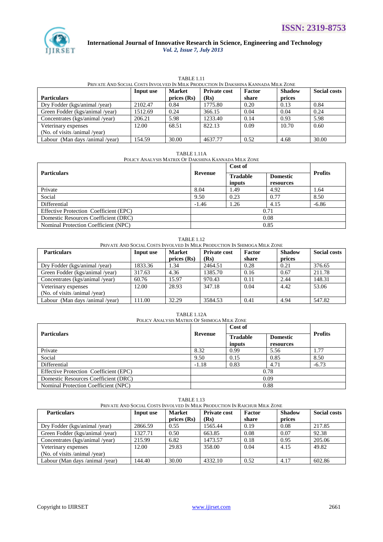

| LE<br>١R<br>a. |
|----------------|
|----------------|

PRIVATE AND SOCIAL COSTS INVOLVED IN MILK PRODUCTION IN DAKSHINA KANNADA MILK ZONE

|                                 | Input use | <b>Market</b>                  | <b>Private cost</b> | Factor | Shadow | <b>Social costs</b> |
|---------------------------------|-----------|--------------------------------|---------------------|--------|--------|---------------------|
| <b>Particulars</b>              |           | $\mathbf{prices}(\mathbf{Rs})$ | (Rs)                | share  | prices |                     |
| Dry Fodder (kgs/animal/year)    | 2102.47   | 0.84                           | 1775.80             | 0.20   | 0.13   | 0.84                |
| Green Fodder (kgs/animal /year) | 1512.69   | 0.24                           | 366.15              | 0.04   | 0.04   | 0.24                |
| Concentrates (kgs/animal/year)  | 206.21    | 5.98                           | 1233.40             | 0.14   | 0.93   | 5.98                |
| Veterinary expenses             | 12.00     | 68.51                          | 822.13              | 0.09   | 10.70  | 0.60                |
| (No. of visits /animal /year)   |           |                                |                     |        |        |                     |
| Labour (Man days /animal /year) | 154.59    | 30.00                          | 4637.77             | 0.52   | 4.68   | 30.00               |

TABLE 1.11A

| POLICY ANALYSIS MATRIX OF DAKSHINA KANNADA MILK ZONE |         |                           |                              |                |  |  |  |
|------------------------------------------------------|---------|---------------------------|------------------------------|----------------|--|--|--|
| <b>Particulars</b>                                   | Revenue | Cost of                   |                              |                |  |  |  |
|                                                      |         | <b>Tradable</b><br>inputs | <b>Domestic</b><br>resources | <b>Profits</b> |  |  |  |
| Private                                              | 8.04    | 1.49                      | 4.92                         | 1.64           |  |  |  |
| Social                                               | 9.50    | 0.23                      | 0.77                         | 8.50           |  |  |  |
| Differential                                         | $-1.46$ | 1.26                      | 4.15                         | $-6.86$        |  |  |  |
| Effective Protection Coefficient (EPC)               | 0.71    |                           |                              |                |  |  |  |
| Domestic Resources Coefficient (DRC)                 | 0.08    |                           |                              |                |  |  |  |
| Nominal Protection Coefficient (NPC)                 | 0.85    |                           |                              |                |  |  |  |

TABLE 1.12

PRIVATE AND SOCIAL COSTS INVOLVED IN MILK PRODUCTION IN SHIMOGA MILK ZONE

| <b>Particulars</b>              | Input use | <b>Market</b>                  | <b>Private cost</b> | Factor | <b>Shadow</b> | <b>Social costs</b> |
|---------------------------------|-----------|--------------------------------|---------------------|--------|---------------|---------------------|
|                                 |           | $\mathbf{prices}(\mathbf{Rs})$ | (Rs)                | share  | prices        |                     |
| Dry Fodder (kgs/animal/year)    | 1833.36   | 1.34                           | 2464.51             | 0.28   | 0.21          | 376.65              |
| Green Fodder (kgs/animal /year) | 317.63    | 4.36                           | 1385.70             | 0.16   | 0.67          | 211.78              |
| Concentrates (kgs/animal/year)  | 60.76     | 15.97                          | 970.43              | 0.11   | 2.44          | 148.31              |
| Veterinary expenses             | 12.00     | 28.93                          | 347.18              | 0.04   | 4.42          | 53.06               |
| (No. of visits /animal /year)   |           |                                |                     |        |               |                     |
| Labour (Man days /animal /year) | 111.00    | 32.29                          | 3584.53             | 0.41   | 4.94          | 547.82              |

TABLE 1.12A POLICY ANALYSIS MATRIX OF SHIMOGA MILK ZONE

|                                        |         | Cost of                   |                              |                |  |  |  |
|----------------------------------------|---------|---------------------------|------------------------------|----------------|--|--|--|
| <b>Particulars</b>                     | Revenue | <b>Tradable</b><br>inputs | <b>Domestic</b><br>resources | <b>Profits</b> |  |  |  |
| Private                                | 8.32    | 0.99                      | 5.56                         | 1.77           |  |  |  |
| Social                                 | 9.50    | 0.15                      | 0.85                         | 8.50           |  |  |  |
| Differential                           | $-1.18$ | 0.83                      | 4.71                         | $-6.73$        |  |  |  |
| Effective Protection Coefficient (EPC) |         | 0.78                      |                              |                |  |  |  |
| Domestic Resources Coefficient (DRC)   |         | 0.09                      |                              |                |  |  |  |
| Nominal Protection Coefficient (NPC)   |         | 0.88                      |                              |                |  |  |  |

TABLE 1.13 PRIVATE AND SOCIAL COSTS INVOLVED IN MILK PRODUCTION IN RAICHUR MILK ZONE

| <b>Particulars</b>              | Input use | <b>Market</b>                  | <b>Private cost</b> | Factor | <b>Shadow</b> | <b>Social costs</b> |
|---------------------------------|-----------|--------------------------------|---------------------|--------|---------------|---------------------|
|                                 |           | $\mathbf{prices}(\mathbf{Rs})$ | (Rs)                | share  | prices        |                     |
| Dry Fodder (kgs/animal /year)   | 2866.59   | 0.55                           | 1565.44             | 0.19   | 0.08          | 217.85              |
| Green Fodder (kgs/animal /year) | 1327.71   | 0.50                           | 663.85              | 0.08   | 0.07          | 92.38               |
| Concentrates (kgs/animal/year)  | 215.99    | 6.82                           | 1473.57             | 0.18   | 0.95          | 205.06              |
| Veterinary expenses             | 12.00     | 29.83                          | 358.00              | 0.04   | 4.15          | 49.82               |
| (No. of visits /animal /year)   |           |                                |                     |        |               |                     |
| Labour (Man days /animal /year) | 144.40    | 30.00                          | 4332.10             | 0.52   | 4.17          | 602.86              |